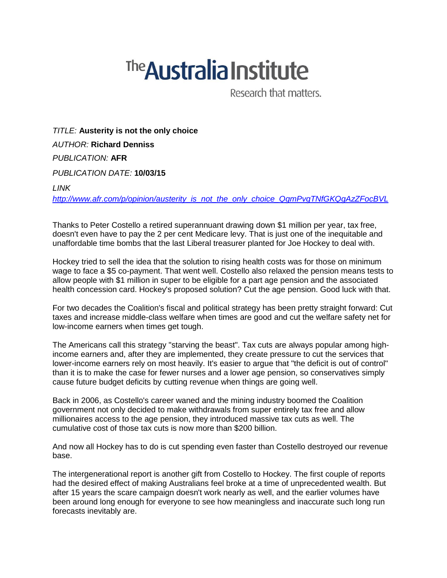## <sup>The</sup> Australia Institute

Research that matters.

*TITLE:* **Austerity is not the only choice** *AUTHOR:* **Richard Denniss** *PUBLICATION:* **AFR** *PUBLICATION DATE:* **10/03/15**

## *LINK*

*[http://www.afr.com/p/opinion/austerity\\_is\\_not\\_the\\_only\\_choice\\_QgmPvgTNfGKQgAzZFocBVL](http://www.afr.com/p/opinion/austerity_is_not_the_only_choice_QgmPvgTNfGKQgAzZFocBVL)*

Thanks to Peter Costello a retired superannuant drawing down \$1 million per year, tax free, doesn't even have to pay the 2 per cent Medicare levy. That is just one of the inequitable and unaffordable time bombs that the last Liberal treasurer planted for Joe Hockey to deal with.

Hockey tried to sell the idea that the solution to rising health costs was for those on minimum wage to face a \$5 co-payment. That went well. Costello also relaxed the pension means tests to allow people with \$1 million in super to be eligible for a part age pension and the associated health concession card. Hockey's proposed solution? Cut the age pension. Good luck with that.

For two decades the Coalition's fiscal and political strategy has been pretty straight forward: Cut taxes and increase middle-class welfare when times are good and cut the welfare safety net for low-income earners when times get tough.

The Americans call this strategy "starving the beast". Tax cuts are always popular among highincome earners and, after they are implemented, they create pressure to cut the services that lower-income earners rely on most heavily. It's easier to argue that "the deficit is out of control" than it is to make the case for fewer nurses and a lower age pension, so conservatives simply cause future budget deficits by cutting revenue when things are going well.

Back in 2006, as Costello's career waned and the mining industry boomed the Coalition government not only decided to make withdrawals from super entirely tax free and allow millionaires access to the age pension, they introduced massive tax cuts as well. The cumulative cost of those tax cuts is now more than \$200 billion.

And now all Hockey has to do is cut spending even faster than Costello destroyed our revenue base.

The intergenerational report is another gift from Costello to Hockey. The first couple of reports had the desired effect of making Australians feel broke at a time of unprecedented wealth. But after 15 years the scare campaign doesn't work nearly as well, and the earlier volumes have been around long enough for everyone to see how meaningless and inaccurate such long run forecasts inevitably are.